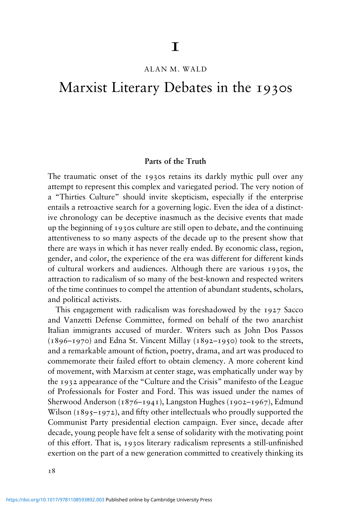# **1**

## ALAN M. WALD

## Marxist Literary Debates in the 1930s

### **Parts of the Truth**

The traumatic onset of the 1930s retains its darkly mythic pull over any attempt to represent this complex and variegated period. The very notion of a "Thirties Culture" should invite skepticism, especially if the enterprise entails a retroactive search for a governing logic. Even the idea of a distinctive chronology can be deceptive inasmuch as the decisive events that made up the beginning of 1930s culture are still open to debate, and the continuing attentiveness to so many aspects of the decade up to the present show that there are ways in which it has never really ended. By economic class, region, gender, and color, the experience of the era was different for different kinds of cultural workers and audiences. Although there are various 1930s, the attraction to radicalism of so many of the best-known and respected writers of the time continues to compel the attention of abundant students, scholars, and political activists.

This engagement with radicalism was foreshadowed by the 1927 Sacco and Vanzetti Defense Committee, formed on behalf of the two anarchist Italian immigrants accused of murder. Writers such as John Dos Passos (1896–1970) and Edna St. Vincent Millay (1892–1950) took to the streets, and a remarkable amount of fiction, poetry, drama, and art was produced to commemorate their failed effort to obtain clemency. A more coherent kind of movement, with Marxism at center stage, was emphatically under way by the 1932 [appeara](https://doi.org/10.1017/9781108593892.003)nce of the "Culture and the Crisis" manifesto of the League of Professionals for Foster and Ford. This was issued under the names of Sherwood Anderson (1876–1941), Langston Hughes (1902–1967), Edmund Wilson  $(1895-1972)$ , and fifty other intellectuals who proudly supported the Communist Party presidential election campaign. Ever since, decade after decade, young people have felt a sense of solidarity with the motivating point of this effort. That is, 1930s literary radicalism represents a still-unfinished exertion on the part of a new generation committed to creatively thinking its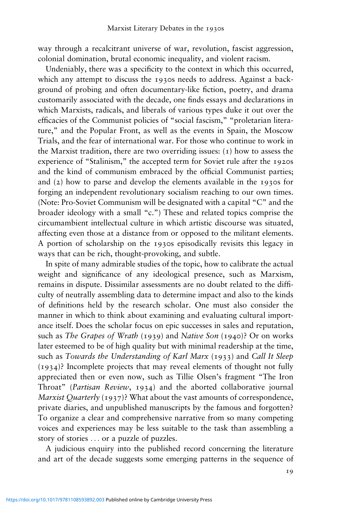way through a recalcitrant universe of war, revolution, fascist aggression, colonial domination, brutal economic inequality, and violent racism.

Undeniably, there was a specificity to the context in which this occurred, which any attempt to discuss the 1930s needs to address. Against a background of probing and often documentary-like fiction, poetry, and drama customarily associated with the decade, one finds essays and declarations in which Marxists, radicals, and liberals of various types duke it out over the efficacies of the Communist policies of "social fascism," "proletarian literature," and the Popular Front, as well as the events in Spain, the Moscow Trials, and the fear of international war. For those who continue to work in the Marxist tradition, there are two overriding issues: (1) how to assess the experience of "Stalinism," the accepted term for Soviet rule after the 1920s and the kind of communism embraced by the official Communist parties; and (2) how to parse and develop the elements available in the 1930s for forging an independent revolutionary socialism reaching to our own times. (Note: Pro-Soviet Communism will be designated with a capital "C" and the broader ideology with a small "c.") These and related topics comprise the circumambient intellectual culture in which artistic discourse was situated, affecting even those at a distance from or opposed to the militant elements. A portion of scholarship on the 1930s episodically revisits this legacy in ways that can be rich, thought-provoking, and subtle.

In spite of many admirable studies of the topic, how to calibrate the actual weight and significance of any ideological presence, such as Marxism, remains in dispute. Dissimilar assessments are no doubt related to the difficulty of neutrally assembling data to determine impact and also to the kinds of definitions held by the research scholar. One must also consider the manner in which to think about examining and evaluating cultural importance itself. Does the scholar focus on epic successes in sales and reputation, such as *The Grapes of Wrath* (1939) and *Native Son* (1940)? Or on works later esteemed to be of high quality but with minimal readership at the time, such as *Towards the Understanding of Karl Marx* (1933) and *Call It Sleep* (1934)? Incomplete projects that may reveal elements of thought not fully appreciated then or even now, such as Tillie Olsen's fragment "The Iron Throat" (*[Partisan](https://doi.org/10.1017/9781108593892.003) [R](https://doi.org/10.1017/9781108593892.003)eview*, 1934) and the aborted collaborative journal *Marxist Quarterly* (1937)? What about the vast amounts of correspondence, private diaries, and unpublished manuscripts by the famous and forgotten? To organize a clear and comprehensive narrative from so many competing voices and experiences may be less suitable to the task than assembling a story of stories ... or a puzzle of puzzles.

A judicious enquiry into the published record concerning the literature and art of the decade suggests some emerging patterns in the sequence of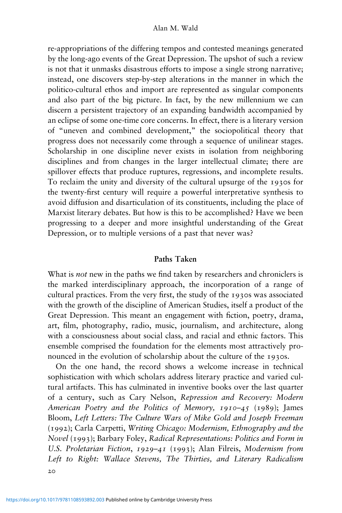re-appropriations of the differing tempos and contested meanings generated by the long-ago events of the Great Depression. The upshot of such a review is not that it unmasks disastrous efforts to impose a single strong narrative; instead, one discovers step-by-step alterations in the manner in which the politico-cultural ethos and import are represented as singular components and also part of the big picture. In fact, by the new millennium we can discern a persistent trajectory of an expanding bandwidth accompanied by an eclipse of some one-time core concerns. In effect, there is a literary version of "uneven and combined development," the sociopolitical theory that progress does not necessarily come through a sequence of unilinear stages. Scholarship in one discipline never exists in isolation from neighboring disciplines and from changes in the larger intellectual climate; there are spillover effects that produce ruptures, regressions, and incomplete results. To reclaim the unity and diversity of the cultural upsurge of the 1930s for the twenty-first century will require a powerful interpretative synthesis to avoid diffusion and disarticulation of its constituents, including the place of Marxist literary debates. But how is this to be accomplished? Have we been progressing to a deeper and more insightful understanding of the Great Depression, or to multiple versions of a past that never was?

#### **Paths Taken**

What is *not* new in the paths we find taken by researchers and chroniclers is the marked interdisciplinary approach, the incorporation of a range of cultural practices. From the very first, the study of the 1930s was associated with the growth of the discipline of American Studies, itself a product of the Great Depression. This meant an engagement with fiction, poetry, drama, art, film, photography, radio, music, journalism, and architecture, along with a consciousness about social class, and racial and ethnic factors. This ensemble comprised the foundation for the elements most attractively pronounced in the evolution of scholarship about the culture of the 1930s.

On the one hand, the record shows a welcome increase in technical sophistication with which scholars address literary practice and varied cul[tural](https://doi.org/10.1017/9781108593892.003) [artifacts.](https://doi.org/10.1017/9781108593892.003) [Th](https://doi.org/10.1017/9781108593892.003)is has culminated in inventive books over the last quarter of a century, such as Cary Nelson, *Repression and Recovery: Modern American Poetry and the Politics of Memory, 1910–45* (1989); James Bloom, *Left Letters: The Culture Wars of Mike Gold and Joseph Freeman* (1992); Carla Carpetti, *Writing Chicago: Modernism, Ethnography and the Novel* (1993); Barbary Foley, *Radical Representations: Politics and Form in U.S. Proletarian Fiction*, *1929–41* (1993); Alan Filreis, *Modernism from Left to Right: Wallace Stevens, The Thirties, and Literary Radicalism* 20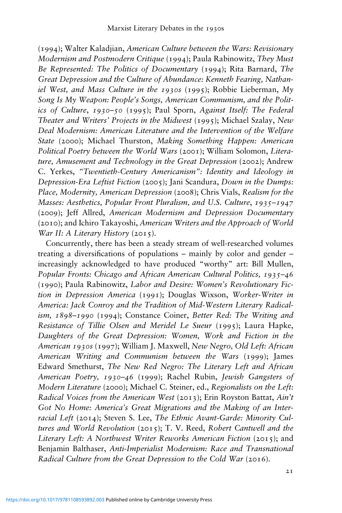(1994); Walter Kaladjian, *American Culture between the Wars: Revisionary Modernism and Postmodern Critique* (1994); Paula Rabinowitz, *They Must Be Represented: The Politics of Documentary* (1994); Rita Barnard, *The Great Depression and the Culture of Abundance: Kenneth Fearing, Nathaniel West, and Mass Culture in the 1930s* (1995); Robbie Lieberman, *My Song Is My Weapon: People's Songs, American Communism, and the Politics of Culture*, *1930–50* (1995); Paul Sporn, *Against Itself: The Federal Theater and Writers' Projects in the Midwest* (1995); Michael Szalay, *New Deal Modernism: American Literature and the Intervention of the Welfare State* (2000); Michael Thurston, *Making Something Happen: American Political Poetry between the World Wars* (2001); William Solomon, *Literature, Amusement and Technology in the Great Depression* (2002); Andrew C. Yerkes, *"Twentieth-Century Americanism": Identity and Ideology in Depression-Era Leftist Fiction* (2005); Jani Scandura, *Down in the Dumps: Place, Modernity, American Depression* (2008); Chris Vials, *Realism for the Masses: Aesthetics, Popular Front Pluralism, and U.S. Culture*, *1935–1947* (2009); Jeff Allred, *American Modernism and Depression Documentary* (2010); and Ichiro Takayoshi, *American Writers and the Approach of World War II: A Literary History* (2015).

Concurrently, there has been a steady stream of well-researched volumes treating a diversifications of populations – mainly by color and gender – increasingly acknowledged to have produced "worthy" art: Bill Mullen, *Popular Fronts: Chicago and African American Cultural Politics, 1935–46* (1990); Paula Rabinowitz, *Labor and Desire: Women's Revolutionary Fiction in Depression America* (1991); Douglas Wixson, *Worker-Writer in America: Jack Conroy and the Tradition of Mid-Western Literary Radicalism, 1898–1990* (1994); Constance Coiner, *Better Red: The Writing and Resistance of Tillie Olsen and Meridel Le Sueur* (1995); Laura Hapke, *Daughters of the Great Depression: Women, Work and Fiction in the American 1930s* (1997); William J. Maxwell, *New Negro, Old Left: African American Writing and Communism between the Wars* (1999); James Edward Smethurst, *The New Red Negro: The Literary Left and African American Poetry, 1930–46* (1999); Rachel Rubin, *Jewish Gangsters of [Modern](https://doi.org/10.1017/9781108593892.003) [Literature](https://doi.org/10.1017/9781108593892.003)* (2000); Michael C. Steiner, ed., *Regionalists on the Left: Radical Voices from the American West* (2013); Erin Royston Battat, *Ain't Got No Home: America's Great Migrations and the Making of an Interracial Left* (2014); Steven S. Lee, *The Ethnic Avant-Garde: Minority Cultures and World Revolution* (2015); T. V. Reed, *Robert Cantwell and the Literary Left: A Northwest Writer Reworks American Fiction* (2015); and Benjamin Balthaser, *Anti-Imperialist Modernism: Race and Transnational Radical Culture from the Great Depression to the Cold War* (2016).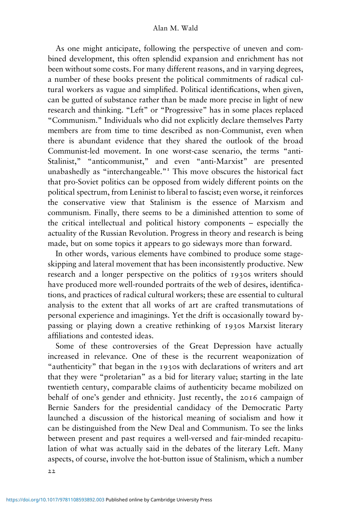As one might anticipate, following the perspective of uneven and combined development, this often splendid expansion and enrichment has not been without some costs. For many different reasons, and in varying degrees, a number of these books present the political commitments of radical cultural workers as vague and simplified. Political identifications, when given, can be gutted of substance rather than be made more precise in light of new research and thinking. "Left" or "Progressive" has in some places replaced "Communism." Individuals who did not explicitly declare themselves Party members are from time to time described as non-Communist, even when there is abundant evidence that they shared the outlook of the broad Communist-led movement. In one worst-case scenario, the terms "anti-Stalinist," "anticommunist," and even "anti-Marxist" are presented unabashedly as "interchangeable."<sup>1</sup> This move obscures the historical fact that pro-Soviet politics can be opposed from widely different points on the political spectrum, from Leninist to liberal to fascist; even worse, it reinforces the conservative view that Stalinism is the essence of Marxism and communism. Finally, there seems to be a diminished attention to some of the critical intellectual and political history components – especially the actuality of the Russian Revolution. Progress in theory and research is being made, but on some topics it appears to go sideways more than forward.

In other words, various elements have combined to produce some stageskipping and lateral movement that has been inconsistently productive. New research and a longer perspective on the politics of 1930s writers should have produced more well-rounded portraits of the web of desires, identifications, and practices of radical cultural workers; these are essential to cultural analysis to the extent that all works of art are crafted transmutations of personal experience and imaginings. Yet the drift is occasionally toward bypassing or playing down a creative rethinking of 1930s Marxist literary affiliations and contested ideas.

Some of these controversies of the Great Depression have actually increased in relevance. One of these is the recurrent weaponization of "authenticity" that began in the 1930s with declarations of writers and art that they were "proletarian" as a bid for literary value; starting in the late [twentieth](https://doi.org/10.1017/9781108593892.003) [century](https://doi.org/10.1017/9781108593892.003), comparable claims of authenticity became mobilized on behalf of one's gender and ethnicity. Just recently, the 2016 campaign of Bernie Sanders for the presidential candidacy of the Democratic Party launched a discussion of the historical meaning of socialism and how it can be distinguished from the New Deal and Communism. To see the links between present and past requires a well-versed and fair-minded recapitulation of what was actually said in the debates of the literary Left. Many aspects, of course, involve the hot-button issue of Stalinism, which a number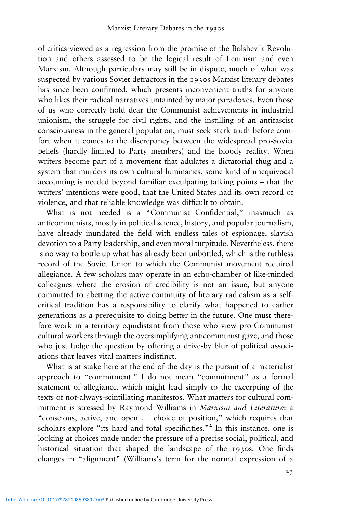of critics viewed as a regression from the promise of the Bolshevik Revolution and others assessed to be the logical result of Leninism and even Marxism. Although particulars may still be in dispute, much of what was suspected by various Soviet detractors in the 1930s Marxist literary debates has since been confirmed, which presents inconvenient truths for anyone who likes their radical narratives untainted by major paradoxes. Even those of us who correctly hold dear the Communist achievements in industrial unionism, the struggle for civil rights, and the instilling of an antifascist consciousness in the general population, must seek stark truth before comfort when it comes to the discrepancy between the widespread pro-Soviet beliefs (hardly limited to Party members) and the bloody reality. When writers become part of a movement that adulates a dictatorial thug and a system that murders its own cultural luminaries, some kind of unequivocal accounting is needed beyond familiar exculpating talking points – that the writers' intentions were good, that the United States had its own record of violence, and that reliable knowledge was difficult to obtain.

What is not needed is a "Communist Confidential," inasmuch as anticommunists, mostly in political science, history, and popular journalism, have already inundated the field with endless tales of espionage, slavish devotion to a Party leadership, and even moral turpitude. Nevertheless, there is no way to bottle up what has already been unbottled, which is the ruthless record of the Soviet Union to which the Communist movement required allegiance. A few scholars may operate in an echo-chamber of like-minded colleagues where the erosion of credibility is not an issue, but anyone committed to abetting the active continuity of literary radicalism as a selfcritical tradition has a responsibility to clarify what happened to earlier generations as a prerequisite to doing better in the future. One must therefore work in a territory equidistant from those who view pro-Communist cultural workers through the oversimplifying anticommunist gaze, and those who just fudge the question by offering a drive-by blur of political associations that leaves vital matters indistinct.

What is at stake here at the end of the day is the pursuit of a materialist approach to "commitment." I do not mean "commitment" as a formal [statement](https://doi.org/10.1017/9781108593892.003) [of](https://doi.org/10.1017/9781108593892.003) [allegia](https://doi.org/10.1017/9781108593892.003)nce, which might lead simply to the excerpting of the texts of not-always-scintillating manifestos. What matters for cultural commitment is stressed by Raymond Williams in *Marxism and Literature*: a "conscious, active, and open ... choice of position," which requires that scholars explore "its hard and total specificities."<sup>2</sup> In this instance, one is looking at choices made under the pressure of a precise social, political, and historical situation that shaped the landscape of the 1930s. One finds changes in "alignment" (Williams's term for the normal expression of a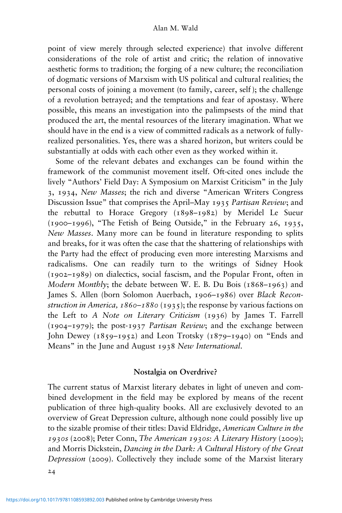point of view merely through selected experience) that involve different considerations of the role of artist and critic; the relation of innovative aesthetic forms to tradition; the forging of a new culture; the reconciliation of dogmatic versions of Marxism with US political and cultural realities; the personal costs of joining a movement (to family, career, self ); the challenge of a revolution betrayed; and the temptations and fear of apostasy. Where possible, this means an investigation into the palimpsests of the mind that produced the art, the mental resources of the literary imagination. What we should have in the end is a view of committed radicals as a network of fullyrealized personalities. Yes, there was a shared horizon, but writers could be substantially at odds with each other even as they worked within it.

Some of the relevant debates and exchanges can be found within the framework of the communist movement itself. Oft-cited ones include the lively "Authors' Field Day: A Symposium on Marxist Criticism" in the July 3, 1934, *New Masses*; the rich and diverse "American Writers Congress Discussion Issue" that comprises the April–May 1935 *Partisan Review*; and the rebuttal to Horace Gregory (1898–1982) by Meridel Le Sueur (1900–1996), "The Fetish of Being Outside," in the February 26, 1935, *New Masses*. Many more can be found in literature responding to splits and breaks, for it was often the case that the shattering of relationships with the Party had the effect of producing even more interesting Marxisms and radicalisms. One can readily turn to the writings of Sidney Hook (1902–1989) on dialectics, social fascism, and the Popular Front, often in *Modern Monthly*; the debate between W. E. B. Du Bois (1868–1963) and James S. Allen (born Solomon Auerbach, 1906–1986) over *Black Reconstruction in America, 1860–1880* (1935); the response by various factions on the Left to *A Note on Literary Criticism* (1936) by James T. Farrell (1904–1979); the post-1937 *Partisan Review*; and the exchange between John Dewey (1859–1952) and Leon Trotsky (1879–1940) on "Ends and Means" in the June and August 1938 *New International*.

#### **Nostalgia on Overdrive?**

[The](https://doi.org/10.1017/9781108593892.003) [current](https://doi.org/10.1017/9781108593892.003) [statu](https://doi.org/10.1017/9781108593892.003)s of Marxist literary debates in light of uneven and combined development in the field may be explored by means of the recent publication of three high-quality books. All are exclusively devoted to an overview of Great Depression culture, although none could possibly live up to the sizable promise of their titles: David Eldridge, *American Culture in the 1930s* (2008); Peter Conn, *The American 1930s: A Literary History* (2009); and Morris Dickstein, *Dancing in the Dark: A Cultural History of the Great Depression* (2009). Collectively they include some of the Marxist literary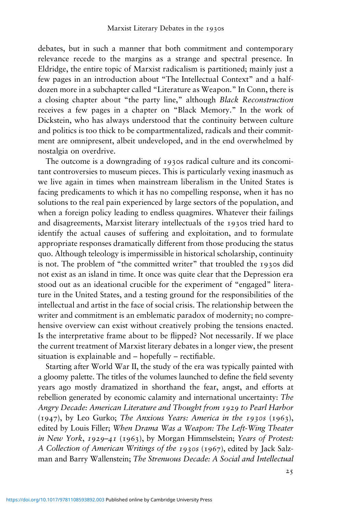debates, but in such a manner that both commitment and contemporary relevance recede to the margins as a strange and spectral presence. In Eldridge, the entire topic of Marxist radicalism is partitioned; mainly just a few pages in an introduction about "The Intellectual Context" and a halfdozen more in a subchapter called "Literature as Weapon." In Conn, there is a closing chapter about "the party line," although *Black Reconstruction* receives a few pages in a chapter on "Black Memory." In the work of Dickstein, who has always understood that the continuity between culture and politics is too thick to be compartmentalized, radicals and their commitment are omnipresent, albeit undeveloped, and in the end overwhelmed by nostalgia on overdrive.

The outcome is a downgrading of 1930s radical culture and its concomitant controversies to museum pieces. This is particularly vexing inasmuch as we live again in times when mainstream liberalism in the United States is facing predicaments to which it has no compelling response, when it has no solutions to the real pain experienced by large sectors of the population, and when a foreign policy leading to endless quagmires. Whatever their failings and disagreements, Marxist literary intellectuals of the 1930s tried hard to identify the actual causes of suffering and exploitation, and to formulate appropriate responses dramatically different from those producing the status quo. Although teleology is impermissible in historical scholarship, continuity is not. The problem of "the committed writer" that troubled the 1930s did not exist as an island in time. It once was quite clear that the Depression era stood out as an ideational crucible for the experiment of "engaged" literature in the United States, and a testing ground for the responsibilities of the intellectual and artist in the face of social crisis. The relationship between the writer and commitment is an emblematic paradox of modernity; no comprehensive overview can exist without creatively probing the tensions enacted. Is the interpretative frame about to be flipped? Not necessarily. If we place the current treatment of Marxist literary debates in a longer view, the present situation is explainable and – hopefully – rectifiable.

Starting after World War II, the study of the era was typically painted with a gloomy palette. The titles of the volumes launched to define the field seventy [years](https://doi.org/10.1017/9781108593892.003) [ago](https://doi.org/10.1017/9781108593892.003) [mostly](https://doi.org/10.1017/9781108593892.003) [d](https://doi.org/10.1017/9781108593892.003)ramatized in shorthand the fear, angst, and efforts at rebellion generated by economic calamity and international uncertainty: *The Angry Decade: American Literature and Thought from 1929 to Pearl Harbor* (1947), by Leo Gurko; *The Anxious Years: America in the 1930s* (1963), edited by Louis Filler; *When Drama Was a Weapon: The Left-Wing Theater in New York*, *1929–41* (1963), by Morgan Himmselstein; *Years of Protest: A Collection of American Writings of the 1930s* (1967), edited by Jack Salzman and Barry Wallenstein; *The Strenuous Decade: A Social and Intellectual*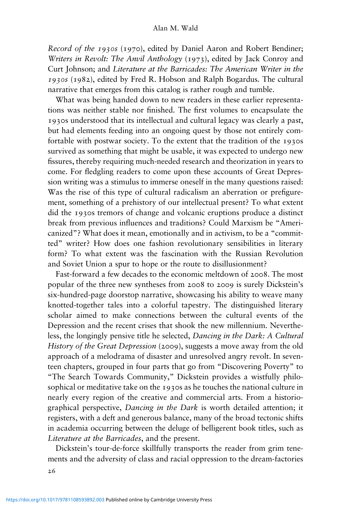*Record of the 1930s* (1970), edited by Daniel Aaron and Robert Bendiner; *Writers in Revolt: The Anvil Anthology* (1973), edited by Jack Conroy and Curt Johnson; and *Literature at the Barricades: The American Writer in the 1930s* (1982), edited by Fred R. Hobson and Ralph Bogardus. The cultural narrative that emerges from this catalog is rather rough and tumble.

What was being handed down to new readers in these earlier representations was neither stable nor finished. The first volumes to encapsulate the 1930s understood that its intellectual and cultural legacy was clearly a past, but had elements feeding into an ongoing quest by those not entirely comfortable with postwar society. To the extent that the tradition of the 1930s survived as something that might be usable, it was expected to undergo new fissures, thereby requiring much-needed research and theorization in years to come. For fledgling readers to come upon these accounts of Great Depression writing was a stimulus to immerse oneself in the many questions raised: Was the rise of this type of cultural radicalism an aberration or prefigurement, something of a prehistory of our intellectual present? To what extent did the 1930s tremors of change and volcanic eruptions produce a distinct break from previous influences and traditions? Could Marxism be "Americanized"? What does it mean, emotionally and in activism, to be a "committed" writer? How does one fashion revolutionary sensibilities in literary form? To what extent was the fascination with the Russian Revolution and Soviet Union a spur to hope or the route to disillusionment?

Fast-forward a few decades to the economic meltdown of 2008. The most popular of the three new syntheses from 2008 to 2009 is surely Dickstein's six-hundred-page doorstop narrative, showcasing his ability to weave many knotted-together tales into a colorful tapestry. The distinguished literary scholar aimed to make connections between the cultural events of the Depression and the recent crises that shook the new millennium. Nevertheless, the longingly pensive title he selected, *Dancing in the Dark: A Cultural History of the Great Depression* (2009), suggests a move away from the old approach of a melodrama of disaster and unresolved angry revolt. In seventeen chapters, grouped in four parts that go from "Discovering Poverty" to "The Search Towards Community," Dickstein provides a wistfully philo[sophical](https://doi.org/10.1017/9781108593892.003) [or](https://doi.org/10.1017/9781108593892.003) [medit](https://doi.org/10.1017/9781108593892.003)ative take on the 1930s as he touches the national culture in nearly every region of the creative and commercial arts. From a historiographical perspective, *Dancing in the Dark* is worth detailed attention; it registers, with a deft and generous balance, many of the broad tectonic shifts in academia occurring between the deluge of belligerent book titles, such as *Literature at the Barricades*, and the present.

Dickstein's tour-de-force skillfully transports the reader from grim tenements and the adversity of class and racial oppression to the dream-factories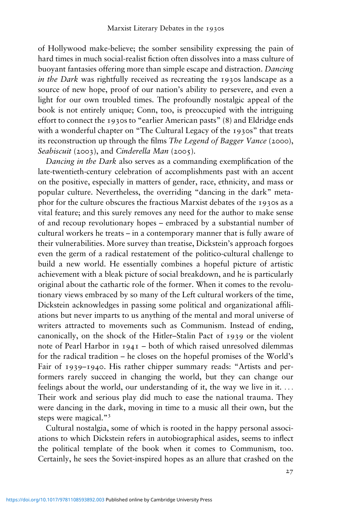of Hollywood make-believe; the somber sensibility expressing the pain of hard times in much social-realist fiction often dissolves into a mass culture of buoyant fantasies offering more than simple escape and distraction. *Dancing in the Dark* was rightfully received as recreating the 1930s landscape as a source of new hope, proof of our nation's ability to persevere, and even a light for our own troubled times. The profoundly nostalgic appeal of the book is not entirely unique; Conn, too, is preoccupied with the intriguing effort to connect the 1930s to "earlier American pasts" (8) and Eldridge ends with a wonderful chapter on "The Cultural Legacy of the 1930s" that treats its reconstruction up through the films *The Legend of Bagger Vance* (2000), *Seabiscuit* (2003), and *Cinderella Man* (2005).

*Dancing in the Dark* also serves as a commanding exemplification of the late-twentieth-century celebration of accomplishments past with an accent on the positive, especially in matters of gender, race, ethnicity, and mass or popular culture. Nevertheless, the overriding "dancing in the dark" metaphor for the culture obscures the fractious Marxist debates of the 1930s as a vital feature; and this surely removes any need for the author to make sense of and recoup revolutionary hopes – embraced by a substantial number of cultural workers he treats – in a contemporary manner that is fully aware of their vulnerabilities. More survey than treatise, Dickstein's approach forgoes even the germ of a radical restatement of the politico-cultural challenge to build a new world. He essentially combines a hopeful picture of artistic achievement with a bleak picture of social breakdown, and he is particularly original about the cathartic role of the former. When it comes to the revolutionary views embraced by so many of the Left cultural workers of the time, Dickstein acknowledges in passing some political and organizational affiliations but never imparts to us anything of the mental and moral universe of writers attracted to movements such as Communism. Instead of ending, canonically, on the shock of the Hitler–Stalin Pact of 1939 or the violent note of Pearl Harbor in 1941 – both of which raised unresolved dilemmas for the radical tradition – he closes on the hopeful promises of the World's Fair of 1939–1940. His rather chipper summary reads: "Artists and performers rarely succeed in changing the world, but they can change our [feelings](https://doi.org/10.1017/9781108593892.003) [about](https://doi.org/10.1017/9781108593892.003) [the](https://doi.org/10.1017/9781108593892.003) [w](https://doi.org/10.1017/9781108593892.003)orld, our understanding of it, the way we live in it. ... Their work and serious play did much to ease the national trauma. They were dancing in the dark, moving in time to a music all their own, but the steps were magical."<sup>3</sup>

Cultural nostalgia, some of which is rooted in the happy personal associations to which Dickstein refers in autobiographical asides, seems to inflect the political template of the book when it comes to Communism, too. Certainly, he sees the Soviet-inspired hopes as an allure that crashed on the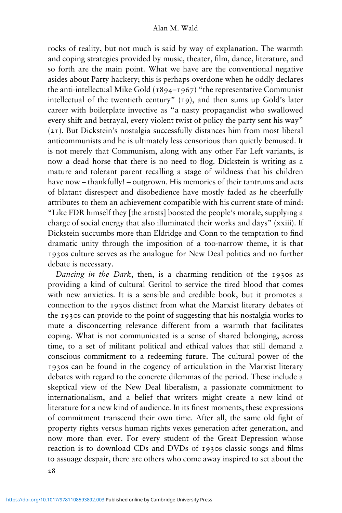rocks of reality, but not much is said by way of explanation. The warmth and coping strategies provided by music, theater, film, dance, literature, and so forth are the main point. What we have are the conventional negative asides about Party hackery; this is perhaps overdone when he oddly declares the anti-intellectual Mike Gold  $(1894–1967)$  "the representative Communist intellectual of the twentieth century" (19), and then sums up Gold's later career with boilerplate invective as "a nasty propagandist who swallowed every shift and betrayal, every violent twist of policy the party sent his way" (21). But Dickstein's nostalgia successfully distances him from most liberal anticommunists and he is ultimately less censorious than quietly bemused. It is not merely that Communism, along with any other Far Left variants, is now a dead horse that there is no need to flog. Dickstein is writing as a mature and tolerant parent recalling a stage of wildness that his children have now – thankfully! – outgrown. His memories of their tantrums and acts of blatant disrespect and disobedience have mostly faded as he cheerfully attributes to them an achievement compatible with his current state of mind: "Like FDR himself they [the artists] boosted the people's morale, supplying a charge of social energy that also illuminated their works and days" (xxiii). If Dickstein succumbs more than Eldridge and Conn to the temptation to find dramatic unity through the imposition of a too-narrow theme, it is that 1930s culture serves as the analogue for New Deal politics and no further debate is necessary.

*Dancing in the Dark*, then, is a charming rendition of the 1930s as providing a kind of cultural Geritol to service the tired blood that comes with new anxieties. It is a sensible and credible book, but it promotes a connection to the 1930s distinct from what the Marxist literary debates of the 1930s can provide to the point of suggesting that his nostalgia works to mute a disconcerting relevance different from a warmth that facilitates coping. What is not communicated is a sense of shared belonging, across time, to a set of militant political and ethical values that still demand a conscious commitment to a redeeming future. The cultural power of the 1930s can be found in the cogency of articulation in the Marxist literary debates with regard to the concrete dilemmas of the period. These include a [skeptical](https://doi.org/10.1017/9781108593892.003) [view](https://doi.org/10.1017/9781108593892.003) [o](https://doi.org/10.1017/9781108593892.003)f the New Deal liberalism, a passionate commitment to internationalism, and a belief that writers might create a new kind of literature for a new kind of audience. In its finest moments, these expressions of commitment transcend their own time. After all, the same old fight of property rights versus human rights vexes generation after generation, and now more than ever. For every student of the Great Depression whose reaction is to download CDs and DVDs of 1930s classic songs and films to assuage despair, there are others who come away inspired to set about the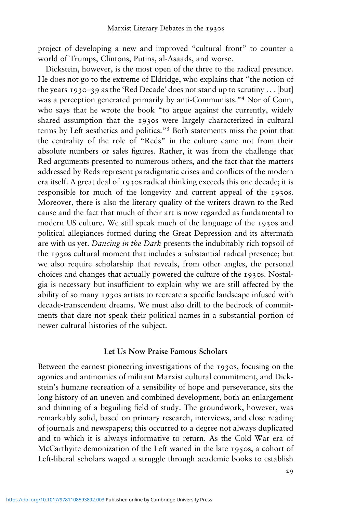project of developing a new and improved "cultural front" to counter a world of Trumps, Clintons, Putins, al-Asaads, and worse.

Dickstein, however, is the most open of the three to the radical presence. He does not go to the extreme of Eldridge, who explains that "the notion of the years 1930–39 as the 'Red Decade' does not stand up to scrutiny ... [but] was a perception generated primarily by anti-Communists."<sup>4</sup> Nor of Conn, who says that he wrote the book "to argue against the currently, widely shared assumption that the 1930s were largely characterized in cultural terms by Left aesthetics and politics."<sup>5</sup> Both statements miss the point that the centrality of the role of "Reds" in the culture came not from their absolute numbers or sales figures. Rather, it was from the challenge that Red arguments presented to numerous others, and the fact that the matters addressed by Reds represent paradigmatic crises and conflicts of the modern era itself. A great deal of 1930s radical thinking exceeds this one decade; it is responsible for much of the longevity and current appeal of the 1930s. Moreover, there is also the literary quality of the writers drawn to the Red cause and the fact that much of their art is now regarded as fundamental to modern US culture. We still speak much of the language of the 1930s and political allegiances formed during the Great Depression and its aftermath are with us yet. *Dancing in the Dark* presents the indubitably rich topsoil of the 1930s cultural moment that includes a substantial radical presence; but we also require scholarship that reveals, from other angles, the personal choices and changes that actually powered the culture of the 1930s. Nostalgia is necessary but insufficient to explain why we are still affected by the ability of so many 1930s artists to recreate a specific landscape infused with decade-transcendent dreams. We must also drill to the bedrock of commitments that dare not speak their political names in a substantial portion of newer cultural histories of the subject.

#### **Let Us Now Praise Famous Scholars**

Between the earnest pioneering investigations of the 1930s, focusing on the agonies and antinomies of militant Marxist cultural commitment, and Dickstein'[s](https://doi.org/10.1017/9781108593892.003) [humane](https://doi.org/10.1017/9781108593892.003) [recre](https://doi.org/10.1017/9781108593892.003)ation of a sensibility of hope and perseverance, sits the long history of an uneven and combined development, both an enlargement and thinning of a beguiling field of study. The groundwork, however, was remarkably solid, based on primary research, interviews, and close reading of journals and newspapers; this occurred to a degree not always duplicated and to which it is always informative to return. As the Cold War era of McCarthyite demonization of the Left waned in the late 1950s, a cohort of Left-liberal scholars waged a struggle through academic books to establish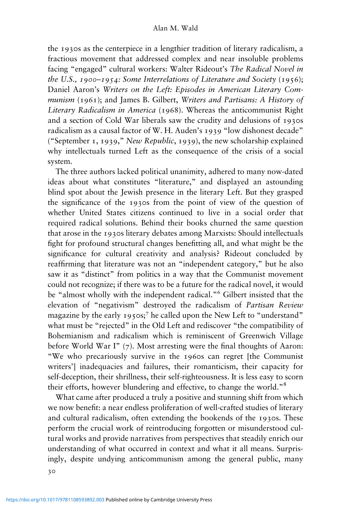the 1930s as the centerpiece in a lengthier tradition of literary radicalism, a fractious movement that addressed complex and near insoluble problems facing "engaged" cultural workers: Walter Rideout's *The Radical Novel in the U.S., 1900–1954: Some Interrelations of Literature and Society* (1956); Daniel Aaron's *Writers on the Left: Episodes in American Literary Communism* (1961); and James B. Gilbert, *Writers and Partisans: A History of Literary Radicalism in America* (1968). Whereas the anticommunist Right and a section of Cold War liberals saw the crudity and delusions of 1930s radicalism as a causal factor of W. H. Auden's 1939 "low dishonest decade" ("September 1, 1939," *New Republic*, 1939), the new scholarship explained why intellectuals turned Left as the consequence of the crisis of a social system.

The three authors lacked political unanimity, adhered to many now-dated ideas about what constitutes "literature," and displayed an astounding blind spot about the Jewish presence in the literary Left. But they grasped the significance of the 1930s from the point of view of the question of whether United States citizens continued to live in a social order that required radical solutions. Behind their books churned the same question that arose in the 1930s literary debates among Marxists: Should intellectuals fight for profound structural changes benefitting all, and what might be the significance for cultural creativity and analysis? Rideout concluded by reaffirming that literature was not an "independent category," but he also saw it as "distinct" from politics in a way that the Communist movement could not recognize; if there was to be a future for the radical novel, it would be "almost wholly with the independent radical."<sup>6</sup> Gilbert insisted that the elevation of "negativism" destroyed the radicalism of *Partisan Review* magazine by the early  $1950s$ ;<sup>7</sup> he called upon the New Left to "understand" what must be "rejected" in the Old Left and rediscover "the compatibility of Bohemianism and radicalism which is reminiscent of Greenwich Village before World War I" (7). Most arresting were the final thoughts of Aaron: "We who precariously survive in the 1960s can regret [the Communist writers'] inadequacies and failures, their romanticism, their capacity for self-deception, their shrillness, their self-righteousness. It is less easy to scorn [their](https://doi.org/10.1017/9781108593892.003) [efforts,](https://doi.org/10.1017/9781108593892.003) [how](https://doi.org/10.1017/9781108593892.003)ever blundering and effective, to change the world."<sup>8</sup>

What came after produced a truly a positive and stunning shift from which we now benefit: a near endless proliferation of well-crafted studies of literary and cultural radicalism, often extending the bookends of the 1930s. These perform the crucial work of reintroducing forgotten or misunderstood cultural works and provide narratives from perspectives that steadily enrich our understanding of what occurred in context and what it all means. Surprisingly, despite undying anticommunism among the general public, many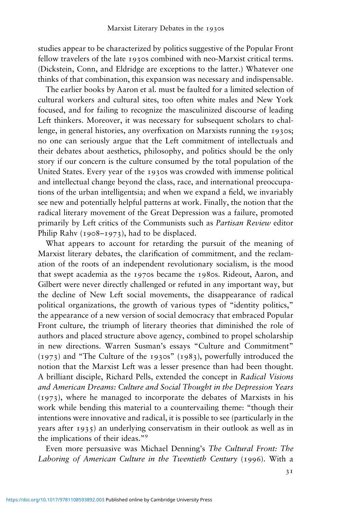studies appear to be characterized by politics suggestive of the Popular Front fellow travelers of the late 1930s combined with neo-Marxist critical terms. (Dickstein, Conn, and Eldridge are exceptions to the latter.) Whatever one thinks of that combination, this expansion was necessary and indispensable.

The earlier books by Aaron et al. must be faulted for a limited selection of cultural workers and cultural sites, too often white males and New York focused, and for failing to recognize the masculinized discourse of leading Left thinkers. Moreover, it was necessary for subsequent scholars to challenge, in general histories, any overfixation on Marxists running the 1930s; no one can seriously argue that the Left commitment of intellectuals and their debates about aesthetics, philosophy, and politics should be the only story if our concern is the culture consumed by the total population of the United States. Every year of the 1930s was crowded with immense political and intellectual change beyond the class, race, and international preoccupations of the urban intelligentsia; and when we expand a field, we invariably see new and potentially helpful patterns at work. Finally, the notion that the radical literary movement of the Great Depression was a failure, promoted primarily by Left critics of the Communists such as *Partisan Review* editor Philip Rahv (1908–1973), had to be displaced.

What appears to account for retarding the pursuit of the meaning of Marxist literary debates, the clarification of commitment, and the reclamation of the roots of an independent revolutionary socialism, is the mood that swept academia as the 1970s became the 1980s. Rideout, Aaron, and Gilbert were never directly challenged or refuted in any important way, but the decline of New Left social movements, the disappearance of radical political organizations, the growth of various types of "identity politics," the appearance of a new version of social democracy that embraced Popular Front culture, the triumph of literary theories that diminished the role of authors and placed structure above agency, combined to propel scholarship in new directions. Warren Susman's essays "Culture and Commitment" (1973) and "The Culture of the 1930s" (1983), powerfully introduced the notion that the Marxist Left was a lesser presence than had been thought. A brilliant disciple, Richard Pells, extended the concept in *Radical Visions [and](https://doi.org/10.1017/9781108593892.003) [American](https://doi.org/10.1017/9781108593892.003) [Dream](https://doi.org/10.1017/9781108593892.003)s: Culture and Social Thought in the Depression Years* (1973), where he managed to incorporate the debates of Marxists in his work while bending this material to a countervailing theme: "though their intentions were innovative and radical, it is possible to see (particularly in the years after 1935) an underlying conservatism in their outlook as well as in the implications of their ideas."<sup>9</sup>

Even more persuasive was Michael Denning's *The Cultural Front: The Laboring of American Culture in the Twentieth Century* (1996). With a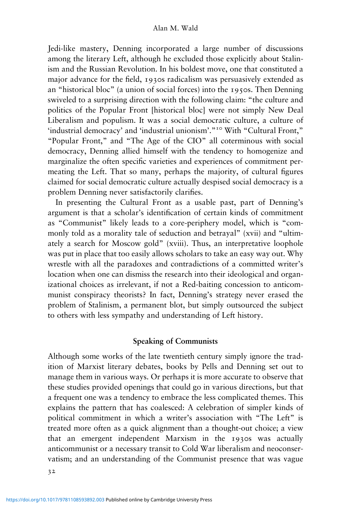Jedi-like mastery, Denning incorporated a large number of discussions among the literary Left, although he excluded those explicitly about Stalinism and the Russian Revolution. In his boldest move, one that constituted a major advance for the field, 1930s radicalism was persuasively extended as an "historical bloc" (a union of social forces) into the 1950s. Then Denning swiveled to a surprising direction with the following claim: "the culture and politics of the Popular Front [historical bloc] were not simply New Deal Liberalism and populism. It was a social democratic culture, a culture of 'industrial democracy' and 'industrial unionism'."<sup>10</sup> With "Cultural Front," "Popular Front," and "The Age of the CIO" all coterminous with social democracy, Denning allied himself with the tendency to homogenize and marginalize the often specific varieties and experiences of commitment permeating the Left. That so many, perhaps the majority, of cultural figures claimed for social democratic culture actually despised social democracy is a problem Denning never satisfactorily clarifies.

In presenting the Cultural Front as a usable past, part of Denning's argument is that a scholar's identification of certain kinds of commitment as "Communist" likely leads to a core-periphery model, which is "commonly told as a morality tale of seduction and betrayal" (xvii) and "ultimately a search for Moscow gold" (xviii). Thus, an interpretative loophole was put in place that too easily allows scholars to take an easy way out. Why wrestle with all the paradoxes and contradictions of a committed writer's location when one can dismiss the research into their ideological and organizational choices as irrelevant, if not a Red-baiting concession to anticommunist conspiracy theorists? In fact, Denning's strategy never erased the problem of Stalinism, a permanent blot, but simply outsourced the subject to others with less sympathy and understanding of Left history.

#### **Speaking of Communists**

Although some works of the late twentieth century simply ignore the tradition of Marxist literary debates, books by Pells and Denning set out to manage them in various ways. Or perhaps it is more accurate to observe that [these](https://doi.org/10.1017/9781108593892.003) [studies](https://doi.org/10.1017/9781108593892.003) [prov](https://doi.org/10.1017/9781108593892.003)ided openings that could go in various directions, but that a frequent one was a tendency to embrace the less complicated themes. This explains the pattern that has coalesced: A celebration of simpler kinds of political commitment in which a writer's association with "The Left" is treated more often as a quick alignment than a thought-out choice; a view that an emergent independent Marxism in the 1930s was actually anticommunist or a necessary transit to Cold War liberalism and neoconservatism; and an understanding of the Communist presence that was vague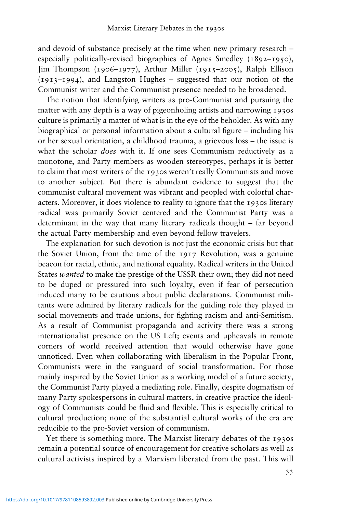and devoid of substance precisely at the time when new primary research – especially politically-revised biographies of Agnes Smedley (1892–1950), Jim Thompson (1906–1977), Arthur Miller (1915–2005), Ralph Ellison (1913–1994), and Langston Hughes – suggested that our notion of the Communist writer and the Communist presence needed to be broadened.

The notion that identifying writers as pro-Communist and pursuing the matter with any depth is a way of pigeonholing artists and narrowing 1930s culture is primarily a matter of what is in the eye of the beholder. As with any biographical or personal information about a cultural figure – including his or her sexual orientation, a childhood trauma, a grievous loss – the issue is what the scholar *does* with it. If one sees Communism reductively as a monotone, and Party members as wooden stereotypes, perhaps it is better to claim that most writers of the 1930s weren't really Communists and move to another subject. But there is abundant evidence to suggest that the communist cultural movement was vibrant and peopled with colorful characters. Moreover, it does violence to reality to ignore that the 1930s literary radical was primarily Soviet centered and the Communist Party was a determinant in the way that many literary radicals thought – far beyond the actual Party membership and even beyond fellow travelers.

The explanation for such devotion is not just the economic crisis but that the Soviet Union, from the time of the 1917 Revolution, was a genuine beacon for racial, ethnic, and national equality. Radical writers in the United States *wanted* to make the prestige of the USSR their own; they did not need to be duped or pressured into such loyalty, even if fear of persecution induced many to be cautious about public declarations. Communist militants were admired by literary radicals for the guiding role they played in social movements and trade unions, for fighting racism and anti-Semitism. As a result of Communist propaganda and activity there was a strong internationalist presence on the US Left; events and upheavals in remote corners of world received attention that would otherwise have gone unnoticed. Even when collaborating with liberalism in the Popular Front, Communists were in the vanguard of social transformation. For those mainly inspired by the Soviet Union as a working model of a future society, [the](https://doi.org/10.1017/9781108593892.003) [Communist](https://doi.org/10.1017/9781108593892.003) [Part](https://doi.org/10.1017/9781108593892.003)y played a mediating role. Finally, despite dogmatism of many Party spokespersons in cultural matters, in creative practice the ideology of Communists could be fluid and flexible. This is especially critical to cultural production; none of the substantial cultural works of the era are reducible to the pro-Soviet version of communism.

Yet there is something more. The Marxist literary debates of the 1930s remain a potential source of encouragement for creative scholars as well as cultural activists inspired by a Marxism liberated from the past. This will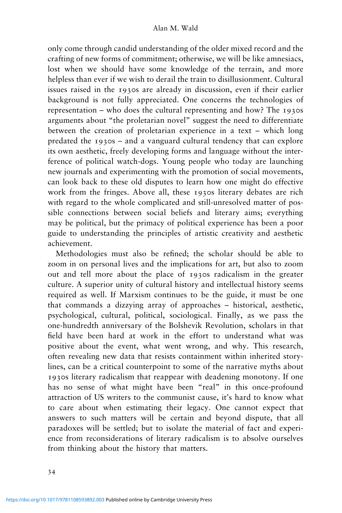only come through candid understanding of the older mixed record and the crafting of new forms of commitment; otherwise, we will be like amnesiacs, lost when we should have some knowledge of the terrain, and more helpless than ever if we wish to derail the train to disillusionment. Cultural issues raised in the 1930s are already in discussion, even if their earlier background is not fully appreciated. One concerns the technologies of representation – who does the cultural representing and how? The 1930s arguments about "the proletarian novel" suggest the need to differentiate between the creation of proletarian experience in a text – which long predated the 1930s – and a vanguard cultural tendency that can explore its own aesthetic, freely developing forms and language without the interference of political watch-dogs. Young people who today are launching new journals and experimenting with the promotion of social movements, can look back to these old disputes to learn how one might do effective work from the fringes. Above all, these 1930s literary debates are rich with regard to the whole complicated and still-unresolved matter of possible connections between social beliefs and literary aims; everything may be political, but the primacy of political experience has been a poor guide to understanding the principles of artistic creativity and aesthetic achievement.

Methodologies must also be refined; the scholar should be able to zoom in on personal lives and the implications for art, but also to zoom out and tell more about the place of 1930s radicalism in the greater culture. A superior unity of cultural history and intellectual history seems required as well. If Marxism continues to be the guide, it must be one that commands a dizzying array of approaches – historical, aesthetic, psychological, cultural, political, sociological. Finally, as we pass the one-hundredth anniversary of the Bolshevik Revolution, scholars in that field have been hard at work in the effort to understand what was positive about the event, what went wrong, and why. This research, often revealing new data that resists containment within inherited storylines, can be a critical counterpoint to some of the narrative myths about 1930s literary radicalism that reappear with deadening monotony. If one [has](https://doi.org/10.1017/9781108593892.003) [no](https://doi.org/10.1017/9781108593892.003) [sense](https://doi.org/10.1017/9781108593892.003) [of](https://doi.org/10.1017/9781108593892.003) what might have been "real" in this once-profound attraction of US writers to the communist cause, it's hard to know what to care about when estimating their legacy. One cannot expect that answers to such matters will be certain and beyond dispute, that all paradoxes will be settled; but to isolate the material of fact and experience from reconsiderations of literary radicalism is to absolve ourselves from thinking about the history that matters.